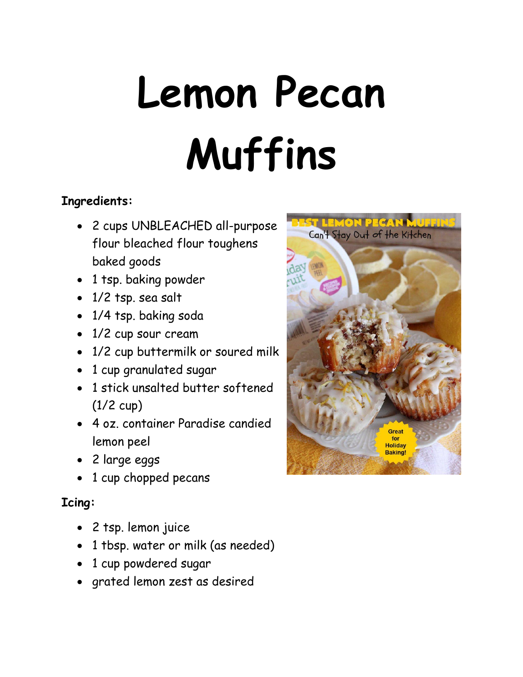# **Lemon Pecan Muffins**

### **Ingredients:**

- 2 cups UNBLEACHED all-purpose flour bleached flour toughens baked goods
- 1 tsp. baking powder
- 1/2 tsp. sea salt
- 1/4 tsp. baking soda
- 1/2 cup sour cream
- 1/2 cup buttermilk or soured milk
- 1 cup granulated sugar
- 1 stick unsalted butter softened (1/2 cup)
- 4 oz. container Paradise candied lemon peel
- 2 large eggs
- 1 cup chopped pecans

## **Icing:**

- 2 tsp. lemon juice
- 1 tbsp. water or milk (as needed)
- 1 cup powdered sugar
- grated lemon zest as desired